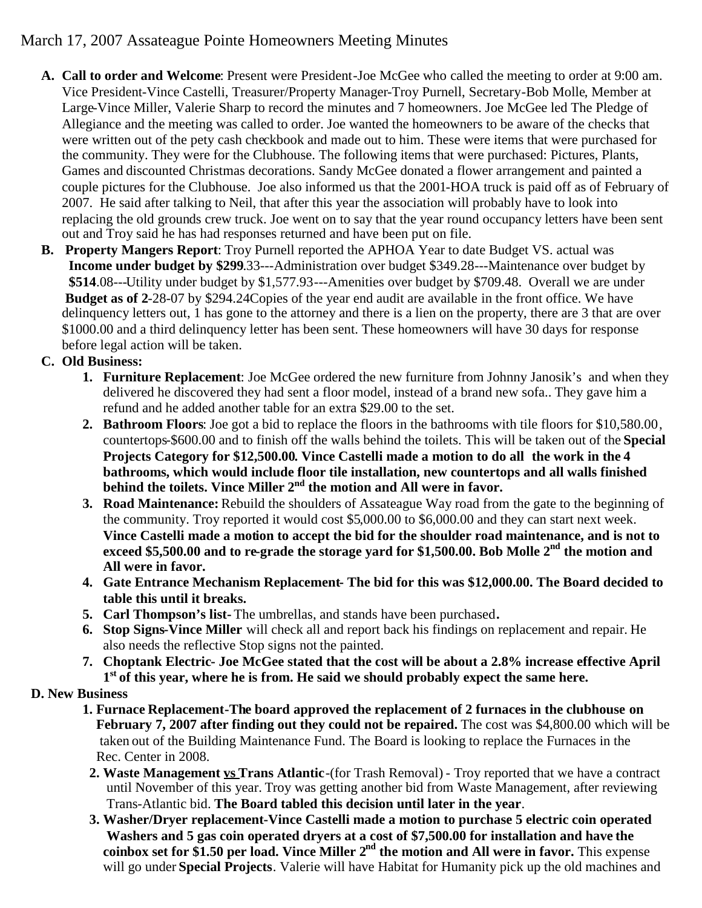## March 17, 2007 Assateague Pointe Homeowners Meeting Minutes

- **A. Call to order and Welcome**: Present were President-Joe McGee who called the meeting to order at 9:00 am. Vice President-Vince Castelli, Treasurer/Property Manager-Troy Purnell, Secretary-Bob Molle, Member at Large-Vince Miller, Valerie Sharp to record the minutes and 7 homeowners. Joe McGee led The Pledge of Allegiance and the meeting was called to order. Joe wanted the homeowners to be aware of the checks that were written out of the pety cash checkbook and made out to him. These were items that were purchased for the community. They were for the Clubhouse. The following items that were purchased: Pictures, Plants, Games and discounted Christmas decorations. Sandy McGee donated a flower arrangement and painted a couple pictures for the Clubhouse. Joe also informed us that the 2001-HOA truck is paid off as of February of 2007. He said after talking to Neil, that after this year the association will probably have to look into replacing the old grounds crew truck. Joe went on to say that the year round occupancy letters have been sent out and Troy said he has had responses returned and have been put on file.
- **B. Property Mangers Report**: Troy Purnell reported the APHOA Year to date Budget VS. actual was **Income under budget by \$299**.33---Administration over budget \$349.28---Maintenance over budget by **\$514**.08---Utility under budget by \$1,577.93---Amenities over budget by \$709.48. Overall we are under **Budget as of 2**-28-07 by \$294.24Copies of the year end audit are available in the front office. We have delinquency letters out, 1 has gone to the attorney and there is a lien on the property, there are 3 that are over \$1000.00 and a third delinquency letter has been sent. These homeowners will have 30 days for response before legal action will be taken.

## **C. Old Business:**

- **1. Furniture Replacement**: Joe McGee ordered the new furniture from Johnny Janosik's and when they delivered he discovered they had sent a floor model, instead of a brand new sofa.. They gave him a refund and he added another table for an extra \$29.00 to the set.
- **2. Bathroom Floors**: Joe got a bid to replace the floors in the bathrooms with tile floors for \$10,580.00, countertops-\$600.00 and to finish off the walls behind the toilets. This will be taken out of the **Special Projects Category for \$12,500.00. Vince Castelli made a motion to do all the work in the 4 bathrooms, which would include floor tile installation, new countertops and all walls finished behind the toilets. Vince Miller 2 nd the motion and All were in favor.**
- **3. Road Maintenance:** Rebuild the shoulders of Assateague Way road from the gate to the beginning of the community. Troy reported it would cost \$5,000.00 to \$6,000.00 and they can start next week. **Vince Castelli made a motion to accept the bid for the shoulder road maintenance, and is not to exceed \$5,500.00 and to re-grade the storage yard for \$1,500.00. Bob Molle 2nd the motion and All were in favor.**
- **4. Gate Entrance Mechanism Replacement- The bid for this was \$12,000.00. The Board decided to table this until it breaks.**
- **5. Carl Thompson's list-** The umbrellas, and stands have been purchased**.**
- **6. Stop Signs-Vince Miller** will check all and report back his findings on replacement and repair. He also needs the reflective Stop signs not the painted.
- **7. Choptank Electric- Joe McGee stated that the cost will be about a 2.8% increase effective April 1 st of this year, where he is from. He said we should probably expect the same here.**

## **D. New Business**

- **1. Furnace Replacement-The board approved the replacement of 2 furnaces in the clubhouse on February 7, 2007 after finding out they could not be repaired.** The cost was \$4,800.00 which will be taken out of the Building Maintenance Fund. The Board is looking to replace the Furnaces in the Rec. Center in 2008.
- **2. Waste Management vs Trans Atlantic**-(for Trash Removal) Troy reported that we have a contract until November of this year. Troy was getting another bid from Waste Management, after reviewing Trans-Atlantic bid. **The Board tabled this decision until later in the year**.
- **3. Washer/Dryer replacement-Vince Castelli made a motion to purchase 5 electric coin operated Washers and 5 gas coin operated dryers at a cost of \$7,500.00 for installation and have the coinbox set for \$1.50 per load. Vince Miller 2nd the motion and All were in favor.** This expense will go under **Special Projects**. Valerie will have Habitat for Humanity pick up the old machines and